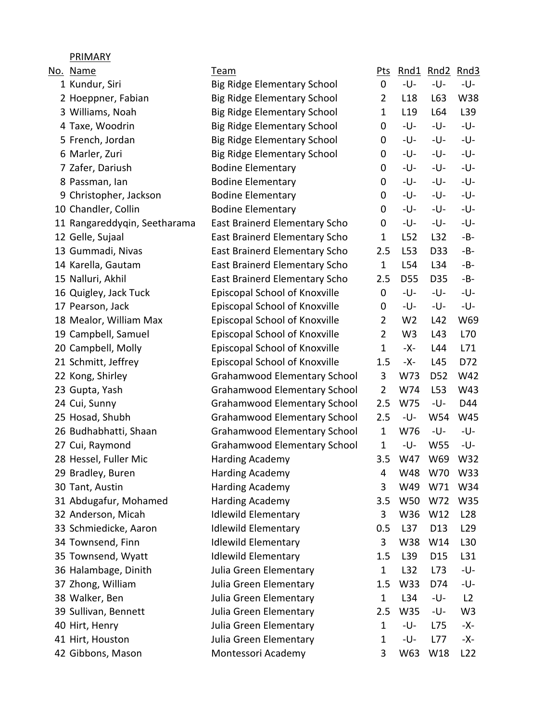| No. Name                     | Team                                | <u>Pts</u>     |                 | Rnd1 Rnd2       | Rnd3            |
|------------------------------|-------------------------------------|----------------|-----------------|-----------------|-----------------|
| 1 Kundur, Siri               | <b>Big Ridge Elementary School</b>  | 0              | -U-             | -U-             | -U-             |
| 2 Hoeppner, Fabian           | <b>Big Ridge Elementary School</b>  | $\overline{2}$ | L <sub>18</sub> | L63             | W38             |
| 3 Williams, Noah             | <b>Big Ridge Elementary School</b>  | 1              | L <sub>19</sub> | L64             | L39             |
| 4 Taxe, Woodrin              | <b>Big Ridge Elementary School</b>  | 0              | -U-             | -U-             | -U-             |
| 5 French, Jordan             | <b>Big Ridge Elementary School</b>  | 0              | -U-             | -U-             | -U-             |
| 6 Marler, Zuri               | <b>Big Ridge Elementary School</b>  | 0              | -U-             | -U-             | -U-             |
| 7 Zafer, Dariush             | <b>Bodine Elementary</b>            | 0              | -U-             | -U-             | -U-             |
| 8 Passman, lan               | <b>Bodine Elementary</b>            | 0              | -U-             | -U-             | -U-             |
| 9 Christopher, Jackson       | <b>Bodine Elementary</b>            | 0              | -U-             | -U-             | -U-             |
| 10 Chandler, Collin          | <b>Bodine Elementary</b>            | 0              | -U-             | -U-             | -U-             |
| 11 Rangareddyqin, Seetharama | East Brainerd Elementary Scho       | 0              | -U-             | -U-             | -U-             |
| 12 Gelle, Sujaal             | East Brainerd Elementary Scho       | 1              | L52             | L32             | $-B-$           |
| 13 Gummadi, Nivas            | East Brainerd Elementary Scho       | 2.5            | L53             | D33             | -B-             |
| 14 Karella, Gautam           | East Brainerd Elementary Scho       | $\mathbf{1}$   | L54             | L34             | -B-             |
| 15 Nalluri, Akhil            | East Brainerd Elementary Scho       | 2.5            | D <sub>55</sub> | D35             | -B-             |
| 16 Quigley, Jack Tuck        | Episcopal School of Knoxville       | 0              | -U-             | -U-             | -U-             |
| 17 Pearson, Jack             | Episcopal School of Knoxville       | 0              | -U-             | -U-             | -U-             |
| 18 Mealor, William Max       | Episcopal School of Knoxville       | $\overline{2}$ | W <sub>2</sub>  | L42             | W69             |
| 19 Campbell, Samuel          | Episcopal School of Knoxville       | $\overline{2}$ | W <sub>3</sub>  | L43             | L70             |
| 20 Campbell, Molly           | Episcopal School of Knoxville       | $\mathbf{1}$   | -X-             | L44             | L71             |
| 21 Schmitt, Jeffrey          | Episcopal School of Knoxville       | 1.5            | -X-             | L45             | D72             |
| 22 Kong, Shirley             | <b>Grahamwood Elementary School</b> | 3              | W73             | D <sub>52</sub> | W42             |
| 23 Gupta, Yash               | <b>Grahamwood Elementary School</b> | $\overline{2}$ | W74             | L53             | W43             |
| 24 Cui, Sunny                | <b>Grahamwood Elementary School</b> | 2.5            | W75             | -U-             | D44             |
| 25 Hosad, Shubh              | <b>Grahamwood Elementary School</b> | 2.5            | -U-             | W54             | W45             |
| 26 Budhabhatti, Shaan        | <b>Grahamwood Elementary School</b> | $\mathbf{1}$   | W76             | -U-             | -U-             |
| 27 Cui, Raymond              | <b>Grahamwood Elementary School</b> | $\mathbf{1}$   | -U-             | W55             | -U-             |
| 28 Hessel, Fuller Mic        | Harding Academy                     | 3.5            | W47             | W69             | W32             |
| 29 Bradley, Buren            | Harding Academy                     | 4              | W48             | W70             | W33             |
| 30 Tant, Austin              | Harding Academy                     | 3              | W49             | W71             | W34             |
| 31 Abdugafur, Mohamed        | <b>Harding Academy</b>              | 3.5            | W50             | W72             | W35             |
| 32 Anderson, Micah           | <b>Idlewild Elementary</b>          | 3              | W36             | W12             | L <sub>28</sub> |
| 33 Schmiedicke, Aaron        | <b>Idlewild Elementary</b>          | 0.5            | L <sub>37</sub> | D13             | L <sub>29</sub> |
| 34 Townsend, Finn            | <b>Idlewild Elementary</b>          | 3              | W38             | W14             | L30             |
| 35 Townsend, Wyatt           | <b>Idlewild Elementary</b>          | 1.5            | L39             | D <sub>15</sub> | L31             |
| 36 Halambage, Dinith         | Julia Green Elementary              | $\mathbf{1}$   | L32             | L73             | -U-             |
| 37 Zhong, William            | Julia Green Elementary              | 1.5            | W33             | D74             | -U-             |
| 38 Walker, Ben               | Julia Green Elementary              | $\mathbf{1}$   | L34             | -U-             | L2              |
| 39 Sullivan, Bennett         | Julia Green Elementary              | 2.5            | W35             | -U-             | W3              |
| 40 Hirt, Henry               | Julia Green Elementary              | 1              | -U-             | L75             | -X-             |
| 41 Hirt, Houston             | Julia Green Elementary              | 1              | -U-             | L77             | -X-             |
| 42 Gibbons, Mason            | Montessori Academy                  | 3              | W63             | W18             | L <sub>22</sub> |

PRIMARY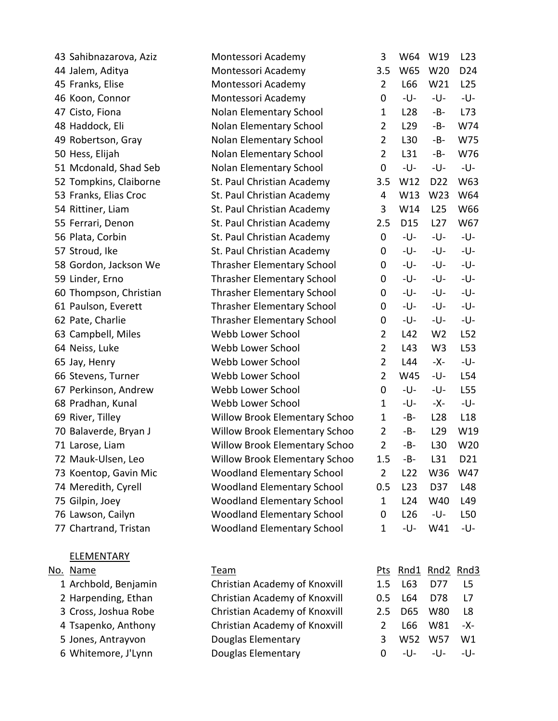| 43 Sahibnazarova, Aziz | Montessori Academy                   | 3              | W64             | W19             | L23             |
|------------------------|--------------------------------------|----------------|-----------------|-----------------|-----------------|
| 44 Jalem, Aditya       | Montessori Academy                   | 3.5            | W65             | W20             | D <sub>24</sub> |
| 45 Franks, Elise       | Montessori Academy                   | $\overline{2}$ | L66             | W21             | L25             |
| 46 Koon, Connor        | Montessori Academy                   | $\mathbf 0$    | -U-             | -U-             | -U-             |
| 47 Cisto, Fiona        | Nolan Elementary School              | $\mathbf{1}$   | L <sub>28</sub> | -B-             | L73             |
| 48 Haddock, Eli        | Nolan Elementary School              | $\overline{2}$ | L <sub>29</sub> | -B-             | W74             |
| 49 Robertson, Gray     | Nolan Elementary School              | $\overline{2}$ | L30             | -B-             | W75             |
| 50 Hess, Elijah        | Nolan Elementary School              | $\overline{2}$ | L31             | $-B-$           | W76             |
| 51 Mcdonald, Shad Seb  | Nolan Elementary School              | $\mathbf 0$    | -U-             | -U-             | -U-             |
| 52 Tompkins, Claiborne | St. Paul Christian Academy           | 3.5            | W12             | D <sub>22</sub> | W63             |
| 53 Franks, Elias Croc  | St. Paul Christian Academy           | 4              | W13             | W23             | W64             |
| 54 Rittiner, Liam      | St. Paul Christian Academy           | 3              | W14             | L25             | W66             |
| 55 Ferrari, Denon      | St. Paul Christian Academy           | 2.5            | D <sub>15</sub> | L27             | W67             |
| 56 Plata, Corbin       | St. Paul Christian Academy           | $\mathbf 0$    | -U-             | -U-             | -U-             |
| 57 Stroud, Ike         | St. Paul Christian Academy           | 0              | -U-             | -U-             | -U-             |
| 58 Gordon, Jackson We  | <b>Thrasher Elementary School</b>    | $\mathbf 0$    | -U-             | -U-             | -U-             |
| 59 Linder, Erno        | Thrasher Elementary School           | $\mathbf 0$    | -U-             | -U-             | -U-             |
| 60 Thompson, Christian | <b>Thrasher Elementary School</b>    | 0              | -U-             | -U-             | -U-             |
| 61 Paulson, Everett    | <b>Thrasher Elementary School</b>    | 0              | -U-             | -U-             | -U-             |
| 62 Pate, Charlie       | <b>Thrasher Elementary School</b>    | 0              | -U-             | -U-             | -U-             |
| 63 Campbell, Miles     | Webb Lower School                    | $\overline{2}$ | L42             | W <sub>2</sub>  | L52             |
| 64 Neiss, Luke         | Webb Lower School                    | $\overline{2}$ | L43             | W <sub>3</sub>  | L53             |
| 65 Jay, Henry          | Webb Lower School                    | $\overline{2}$ | L44             | -X-             | -U-             |
| 66 Stevens, Turner     | Webb Lower School                    | 2              | W45             | -U-             | L54             |
| 67 Perkinson, Andrew   | Webb Lower School                    | $\pmb{0}$      | -U-             | -U-             | L55             |
| 68 Pradhan, Kunal      | Webb Lower School                    | $\mathbf{1}$   | -U-             | -X-             | -U-             |
| 69 River, Tilley       | <b>Willow Brook Elementary Schoo</b> | $\mathbf{1}$   | $-B-$           | L <sub>28</sub> | L <sub>18</sub> |
| 70 Balaverde, Bryan J  | <b>Willow Brook Elementary Schoo</b> | $\overline{2}$ | -B-             | L <sub>29</sub> | W19             |
| 71 Larose, Liam        | <b>Willow Brook Elementary Schoo</b> | $\overline{2}$ | $-B-$           | L30             | W20             |
| 72 Mauk-Ulsen, Leo     | <b>Willow Brook Elementary Schoo</b> | 1.5            | -B-             | L31             | D21             |
| 73 Koentop, Gavin Mic  | <b>Woodland Elementary School</b>    | $\overline{2}$ | L22             | W36             | W47             |
| 74 Meredith, Cyrell    | Woodland Elementary School           | 0.5            | L23             | D37             | L48             |
| 75 Gilpin, Joey        | <b>Woodland Elementary School</b>    | $\mathbf{1}$   | L24             | W40             | L49             |
| 76 Lawson, Cailyn      | Woodland Elementary School           | $\mathbf 0$    | L <sub>26</sub> | -U-             | L50             |
| 77 Chartrand, Tristan  | <b>Woodland Elementary School</b>    | $\mathbf{1}$   | -U-             | W41             | -U-             |
| <b>ELEMENTARY</b>      |                                      |                |                 |                 |                 |
| No. Name               | Team                                 | <u>Pts</u>     |                 | Rnd1 Rnd2 Rnd3  |                 |
| 1 Archbold, Benjamin   | Christian Academy of Knoxvill        | 1.5            | L63             | D77             | L <sub>5</sub>  |
| 2 Harpending, Ethan    | Christian Academy of Knoxvill        | 0.5            | L64             | D78             | L7              |
| 3 Cross, Joshua Robe   | Christian Academy of Knoxvill        | 2.5            | D65             | W80             | L <sub>8</sub>  |
| 4 Tsapenko, Anthony    | Christian Academy of Knoxvill        | $\overline{2}$ | L66             | W81             | -X-             |
| 5 Jones, Antrayvon     | Douglas Elementary                   | 3              | W52             | W57             | W1              |
| 6 Whitemore, J'Lynn    | Douglas Elementary                   | $\mathbf 0$    | -U-             | -U-             | -U-             |
|                        |                                      |                |                 |                 |                 |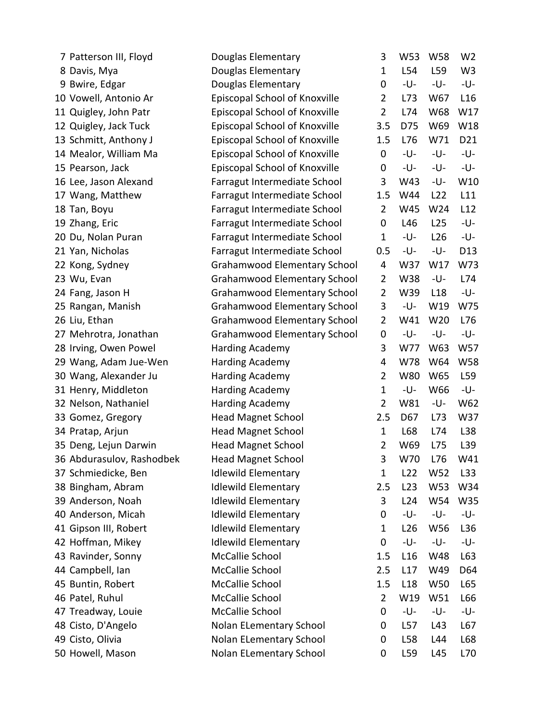| 7 Patterson III, Floyd    | Douglas Elementary                  | 3              | W53             | W58 | W <sub>2</sub>  |
|---------------------------|-------------------------------------|----------------|-----------------|-----|-----------------|
| 8 Davis, Mya              | Douglas Elementary                  | 1              | L54             | L59 | W <sub>3</sub>  |
| 9 Bwire, Edgar            | Douglas Elementary                  | 0              | -U-             | -U- | -U-             |
| 10 Vowell, Antonio Ar     | Episcopal School of Knoxville       | 2              | L73             | W67 | L16             |
| 11 Quigley, John Patr     | Episcopal School of Knoxville       | $\overline{2}$ | L74             | W68 | W17             |
| 12 Quigley, Jack Tuck     | Episcopal School of Knoxville       | 3.5            | D75             | W69 | W18             |
| 13 Schmitt, Anthony J     | Episcopal School of Knoxville       | 1.5            | L76             | W71 | D21             |
| 14 Mealor, William Ma     | Episcopal School of Knoxville       | 0              | -U-             | -U- | -U-             |
| 15 Pearson, Jack          | Episcopal School of Knoxville       | 0              | -U-             | -U- | -U-             |
| 16 Lee, Jason Alexand     | Farragut Intermediate School        | 3              | W43             | -U- | W10             |
| 17 Wang, Matthew          | Farragut Intermediate School        | 1.5            | W44             | L22 | L11             |
| 18 Tan, Boyu              | Farragut Intermediate School        | $\overline{2}$ | W45             | W24 | L12             |
| 19 Zhang, Eric            | Farragut Intermediate School        | 0              | L46             | L25 | -U-             |
| 20 Du, Nolan Puran        | Farragut Intermediate School        | $\mathbf{1}$   | -U-             | L26 | -U-             |
| 21 Yan, Nicholas          | Farragut Intermediate School        | 0.5            | -U-             | -U- | D <sub>13</sub> |
| 22 Kong, Sydney           | <b>Grahamwood Elementary School</b> | 4              | W37             | W17 | W73             |
| 23 Wu, Evan               | <b>Grahamwood Elementary School</b> | $\overline{2}$ | W38             | -U- | L74             |
| 24 Fang, Jason H          | <b>Grahamwood Elementary School</b> | 2              | W39             | L18 | -U-             |
| 25 Rangan, Manish         | <b>Grahamwood Elementary School</b> | 3              | -U-             | W19 | W75             |
| 26 Liu, Ethan             | <b>Grahamwood Elementary School</b> | 2              | W41             | W20 | L76             |
| 27 Mehrotra, Jonathan     | <b>Grahamwood Elementary School</b> | 0              | -U-             | -U- | -U-             |
| 28 Irving, Owen Powel     | Harding Academy                     | 3              | W77             | W63 | W57             |
| 29 Wang, Adam Jue-Wen     | Harding Academy                     | 4              | W78             | W64 | <b>W58</b>      |
| 30 Wang, Alexander Ju     | <b>Harding Academy</b>              | $\overline{2}$ | W80             | W65 | L59             |
| 31 Henry, Middleton       | Harding Academy                     | $\mathbf{1}$   | -U-             | W66 | -U-             |
| 32 Nelson, Nathaniel      | <b>Harding Academy</b>              | $\overline{2}$ | W81             | -U- | W62             |
| 33 Gomez, Gregory         | <b>Head Magnet School</b>           | 2.5            | D67             | L73 | W37             |
| 34 Pratap, Arjun          | <b>Head Magnet School</b>           | 1              | L68             | L74 | L38             |
| 35 Deng, Lejun Darwin     | <b>Head Magnet School</b>           | $\overline{2}$ | W69             | L75 | L39             |
| 36 Abdurasulov, Rashodbek | <b>Head Magnet School</b>           | 3              | W70             | L76 | W41             |
| 37 Schmiedicke, Ben       | <b>Idlewild Elementary</b>          | 1              | L <sub>22</sub> | W52 | L33             |
| 38 Bingham, Abram         | <b>Idlewild Elementary</b>          | 2.5            | L23             | W53 | W34             |
| 39 Anderson, Noah         | <b>Idlewild Elementary</b>          | 3              | L24             | W54 | W35             |
| 40 Anderson, Micah        | <b>Idlewild Elementary</b>          | 0              | -U-             | -U- | -U-             |
| 41 Gipson III, Robert     | <b>Idlewild Elementary</b>          | 1              | L <sub>26</sub> | W56 | L36             |
| 42 Hoffman, Mikey         | <b>Idlewild Elementary</b>          | $\mathbf 0$    | -U-             | -U- | -U-             |
| 43 Ravinder, Sonny        | McCallie School                     | 1.5            | L <sub>16</sub> | W48 | L63             |
| 44 Campbell, Ian          | McCallie School                     | 2.5            | L17             | W49 | D64             |
| 45 Buntin, Robert         | McCallie School                     | 1.5            | L <sub>18</sub> | W50 | L65             |
| 46 Patel, Ruhul           | McCallie School                     | $\overline{2}$ | W19             | W51 | L66             |
| 47 Treadway, Louie        | McCallie School                     | 0              | -U-             | -U- | -U-             |
| 48 Cisto, D'Angelo        | Nolan ELementary School             | 0              | L57             | L43 | L67             |
| 49 Cisto, Olivia          | Nolan ELementary School             | 0              | L58             | L44 | L68             |
| 50 Howell, Mason          | Nolan ELementary School             | 0              | L59             | L45 | L70             |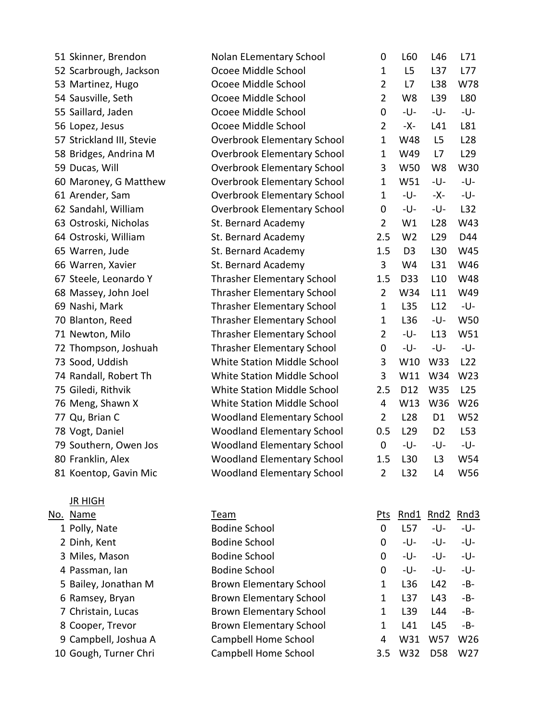| 51 Skinner, Brendon       | Nolan ELementary School            | 0              | L60             | L46             | L71        |
|---------------------------|------------------------------------|----------------|-----------------|-----------------|------------|
| 52 Scarbrough, Jackson    | Ocoee Middle School                | $\mathbf{1}$   | L5              | L <sub>37</sub> | L77        |
| 53 Martinez, Hugo         | Ocoee Middle School                | $\overline{2}$ | L7              | L38             | W78        |
| 54 Sausville, Seth        | Ocoee Middle School                | $\overline{2}$ | W8              | L39             | L80        |
| 55 Saillard, Jaden        | Ocoee Middle School                | 0              | -U-             | -U-             | -U-        |
| 56 Lopez, Jesus           | Ocoee Middle School                | $\overline{2}$ | -X-             | L41             | L81        |
| 57 Strickland III, Stevie | <b>Overbrook Elementary School</b> | $\mathbf{1}$   | W48             | L <sub>5</sub>  | L28        |
| 58 Bridges, Andrina M     | <b>Overbrook Elementary School</b> | $\mathbf{1}$   | W49             | L7              | L29        |
| 59 Ducas, Will            | <b>Overbrook Elementary School</b> | 3              | W50             | W <sub>8</sub>  | W30        |
| 60 Maroney, G Matthew     | <b>Overbrook Elementary School</b> | $\mathbf{1}$   | W51             | -U-             | -U-        |
| 61 Arender, Sam           | <b>Overbrook Elementary School</b> | $\mathbf{1}$   | -U-             | -X-             | -U-        |
| 62 Sandahl, William       | <b>Overbrook Elementary School</b> | 0              | -U-             | -U-             | L32        |
| 63 Ostroski, Nicholas     | St. Bernard Academy                | $\overline{2}$ | W1              | L <sub>28</sub> | W43        |
| 64 Ostroski, William      | St. Bernard Academy                | 2.5            | W <sub>2</sub>  | L <sub>29</sub> | D44        |
| 65 Warren, Jude           | St. Bernard Academy                | 1.5            | D <sub>3</sub>  | L30             | W45        |
| 66 Warren, Xavier         | St. Bernard Academy                | 3              | W4              | L31             | W46        |
| 67 Steele, Leonardo Y     | Thrasher Elementary School         | 1.5            | D33             | L10             | <b>W48</b> |
| 68 Massey, John Joel      | <b>Thrasher Elementary School</b>  | $\overline{2}$ | W34             | L11             | W49        |
| 69 Nashi, Mark            | <b>Thrasher Elementary School</b>  | $\mathbf{1}$   | L35             | L12             | -U-        |
| 70 Blanton, Reed          | <b>Thrasher Elementary School</b>  | $\mathbf{1}$   | L36             | -U-             | W50        |
| 71 Newton, Milo           | <b>Thrasher Elementary School</b>  | $\overline{2}$ | -U-             | L13             | W51        |
| 72 Thompson, Joshuah      | <b>Thrasher Elementary School</b>  | 0              | -U-             | -U-             | -U-        |
| 73 Sood, Uddish           | White Station Middle School        | 3              | W10             | W33             | L22        |
| 74 Randall, Robert Th     | White Station Middle School        | 3              | W11             | W34             | W23        |
| 75 Giledi, Rithvik        | White Station Middle School        | 2.5            | D12             | W35             | L25        |
| 76 Meng, Shawn X          | White Station Middle School        | 4              | W13             | W36             | W26        |
| 77 Qu, Brian C            | <b>Woodland Elementary School</b>  | $\overline{2}$ | L <sub>28</sub> | D <sub>1</sub>  | W52        |
| 78 Vogt, Daniel           | <b>Woodland Elementary School</b>  | 0.5            | L <sub>29</sub> | D <sub>2</sub>  | L53        |
| 79 Southern, Owen Jos     | <b>Woodland Elementary School</b>  | $\pmb{0}$      | -U-             | -U-             | -U-        |
| 80 Franklin, Alex         | <b>Woodland Elementary School</b>  | 1.5            | L30             | L3              | W54        |
| 81 Koentop, Gavin Mic     | <b>Woodland Elementary School</b>  | 2              | L32             | L4              | W56        |
| <u>JR HIGH</u>            |                                    |                |                 |                 |            |
| No. Name                  | Team                               | <u>Pts</u>     | Rnd1            | Rnd2 Rnd3       |            |
| 1 Polly, Nate             | <b>Bodine School</b>               | 0              | L57             | -U-             | -U-        |
| 2 Dinh, Kent              | <b>Bodine School</b>               | 0              | -U-             | -U-             | -U-        |
| 3 Miles, Mason            | <b>Bodine School</b>               | 0              | -U-             | -U-             | -U-        |
| 4 Passman, lan            | <b>Bodine School</b>               | 0              | -U-             | -U-             | -U-        |
| 5 Bailey, Jonathan M      | <b>Brown Elementary School</b>     | 1              | L36             | L42             | -B-        |
| 6 Ramsey, Bryan           | <b>Brown Elementary School</b>     | 1              | L <sub>37</sub> | L43             | -B-        |
| 7 Christain, Lucas        | <b>Brown Elementary School</b>     | 1              | L39             | L44             | -B-        |
| 8 Cooper, Trevor          | <b>Brown Elementary School</b>     | 1              | L41             | L45             | -B-        |
| 9 Campbell, Joshua A      | Campbell Home School               | 4              | W31             | W57             | W26        |
| 10 Gough, Turner Chri     | Campbell Home School               | 3.5            | W32             | D <sub>58</sub> | W27        |
|                           |                                    |                |                 |                 |            |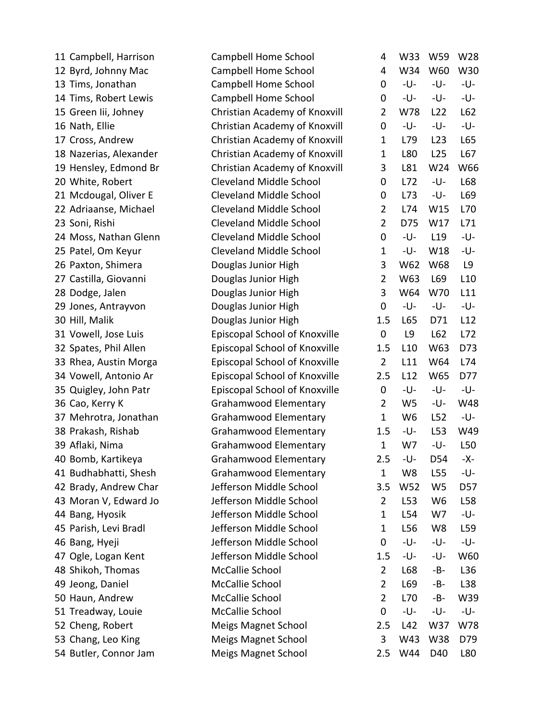| 11 Campbell, Harrison  | Campbell Home School           | 4              | W33             | W <sub>59</sub> | W28 |
|------------------------|--------------------------------|----------------|-----------------|-----------------|-----|
| 12 Byrd, Johnny Mac    | <b>Campbell Home School</b>    | 4              | W34             | W60             | W30 |
| 13 Tims, Jonathan      | Campbell Home School           | 0              | -U-             | -U-             | -U- |
| 14 Tims, Robert Lewis  | Campbell Home School           | 0              | -U-             | -U-             | -U- |
| 15 Green lii, Johney   | Christian Academy of Knoxvill  | $\overline{2}$ | W78             | L22             | L62 |
| 16 Nath, Ellie         | Christian Academy of Knoxvill  | 0              | -U-             | -U-             | -U- |
| 17 Cross, Andrew       | Christian Academy of Knoxvill  | $\mathbf{1}$   | L79             | L23             | L65 |
| 18 Nazerias, Alexander | Christian Academy of Knoxvill  | $\mathbf{1}$   | L80             | L <sub>25</sub> | L67 |
| 19 Hensley, Edmond Br  | Christian Academy of Knoxvill  | 3              | L81             | W24             | W66 |
| 20 White, Robert       | Cleveland Middle School        | 0              | L72             | -U-             | L68 |
| 21 Mcdougal, Oliver E  | <b>Cleveland Middle School</b> | 0              | L73             | -U-             | L69 |
| 22 Adriaanse, Michael  | Cleveland Middle School        | 2              | L74             | W15             | L70 |
| 23 Soni, Rishi         | <b>Cleveland Middle School</b> | 2              | D75             | W17             | L71 |
| 24 Moss, Nathan Glenn  | <b>Cleveland Middle School</b> | 0              | -U-             | L19             | -U- |
| 25 Patel, Om Keyur     | <b>Cleveland Middle School</b> | $\mathbf{1}$   | -U-             | W18             | -U- |
| 26 Paxton, Shimera     | Douglas Junior High            | 3              | W62             | W68             | L9  |
| 27 Castilla, Giovanni  | Douglas Junior High            | $\overline{2}$ | W63             | L69             | L10 |
| 28 Dodge, Jalen        | Douglas Junior High            | 3              | W64             | W70             | L11 |
| 29 Jones, Antrayvon    | Douglas Junior High            | 0              | -U-             | -U-             | -U- |
| 30 Hill, Malik         | Douglas Junior High            | 1.5            | L65             | D71             | L12 |
| 31 Vowell, Jose Luis   | Episcopal School of Knoxville  | 0              | L9              | L62             | L72 |
| 32 Spates, Phil Allen  | Episcopal School of Knoxville  | 1.5            | L10             | W63             | D73 |
| 33 Rhea, Austin Morga  | Episcopal School of Knoxville  | $\overline{2}$ | L11             | W64             | L74 |
| 34 Vowell, Antonio Ar  | Episcopal School of Knoxville  | 2.5            | L12             | W65             | D77 |
| 35 Quigley, John Patr  | Episcopal School of Knoxville  | $\mathbf 0$    | -U-             | -U-             | -U- |
| 36 Cao, Kerry K        | <b>Grahamwood Elementary</b>   | 2              | W <sub>5</sub>  | -U-             | W48 |
| 37 Mehrotra, Jonathan  | <b>Grahamwood Elementary</b>   | $\mathbf{1}$   | W <sub>6</sub>  | L52             | -U- |
| 38 Prakash, Rishab     | <b>Grahamwood Elementary</b>   | 1.5            | -U-             | L53             | W49 |
| 39 Aflaki, Nima        | <b>Grahamwood Elementary</b>   | $\mathbf{1}$   | W7              | -U-             | L50 |
| 40 Bomb, Kartikeya     | Grahamwood Elementary          | 2.5            | -U-             | D54             | -X- |
| 41 Budhabhatti, Shesh  | Grahamwood Elementary          | 1              | W8              | L <sub>55</sub> | -U- |
| 42 Brady, Andrew Char  | Jefferson Middle School        | 3.5            | W52             | W <sub>5</sub>  | D57 |
| 43 Moran V, Edward Jo  | Jefferson Middle School        | 2              | L53             | W <sub>6</sub>  | L58 |
| 44 Bang, Hyosik        | Jefferson Middle School        | $\mathbf{1}$   | L54             | W7              | -U- |
| 45 Parish, Levi Bradl  | Jefferson Middle School        | 1              | L <sub>56</sub> | W <sub>8</sub>  | L59 |
| 46 Bang, Hyeji         | Jefferson Middle School        | 0              | -U-             | -U-             | -U- |
| 47 Ogle, Logan Kent    | Jefferson Middle School        | 1.5            | -U-             | -U-             | W60 |
| 48 Shikoh, Thomas      | McCallie School                | $\overline{2}$ | L68             | -B-             | L36 |
| 49 Jeong, Daniel       | McCallie School                | 2              | L69             | -B-             | L38 |
| 50 Haun, Andrew        | McCallie School                | $\overline{2}$ | L70             | -B-             | W39 |
| 51 Treadway, Louie     | McCallie School                | 0              | -U-             | -U-             | -U- |
| 52 Cheng, Robert       | <b>Meigs Magnet School</b>     | 2.5            | L42             | W37             | W78 |
| 53 Chang, Leo King     | <b>Meigs Magnet School</b>     | 3              | W43             | W38             | D79 |
| 54 Butler, Connor Jam  | <b>Meigs Magnet School</b>     | 2.5            | W44             | D40             | L80 |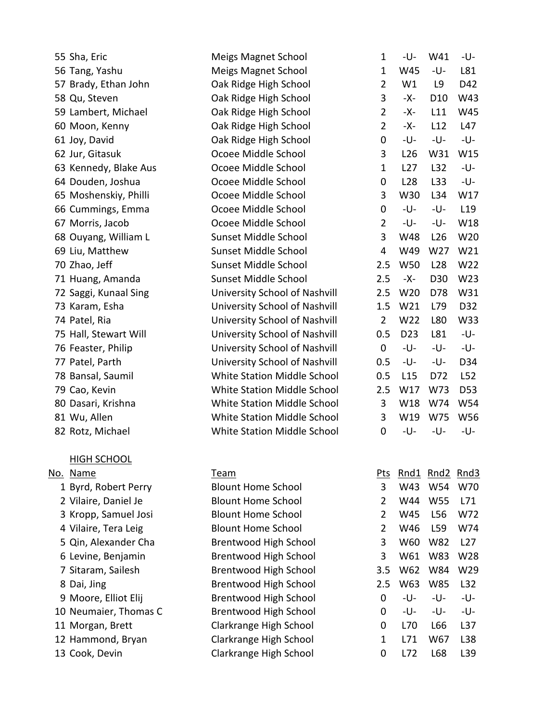| 55 Sha, Eric          | <b>Meigs Magnet School</b>         | 1              | -U-             | W41             | -U-             |
|-----------------------|------------------------------------|----------------|-----------------|-----------------|-----------------|
| 56 Tang, Yashu        | <b>Meigs Magnet School</b>         | 1              | W45             | -U-             | L81             |
| 57 Brady, Ethan John  | Oak Ridge High School              | $\overline{2}$ | W1              | L9              | D42             |
| 58 Qu, Steven         | Oak Ridge High School              | 3              | -Х-             | D <sub>10</sub> | W43             |
| 59 Lambert, Michael   | Oak Ridge High School              | $\overline{2}$ | -Х-             | L11             | W45             |
| 60 Moon, Kenny        | Oak Ridge High School              | $\overline{2}$ | -Х-             | L12             | L47             |
| 61 Joy, David         | Oak Ridge High School              | 0              | -U-             | -U-             | -U-             |
| 62 Jur, Gitasuk       | Ocoee Middle School                | 3              | L26             | W31             | W15             |
| 63 Kennedy, Blake Aus | Ocoee Middle School                | $\mathbf{1}$   | L27             | L32             | -U-             |
| 64 Douden, Joshua     | Ocoee Middle School                | 0              | L28             | L33             | -U-             |
| 65 Moshenskiy, Philli | Ocoee Middle School                | 3              | W30             | L34             | W17             |
| 66 Cummings, Emma     | Ocoee Middle School                | 0              | -U-             | -U-             | L <sub>19</sub> |
| 67 Morris, Jacob      | Ocoee Middle School                | $\overline{2}$ | -U-             | -U-             | W18             |
| 68 Ouyang, William L  | Sunset Middle School               | 3              | W48             | L26             | W20             |
| 69 Liu, Matthew       | Sunset Middle School               | 4              | W49             | W27             | W21             |
| 70 Zhao, Jeff         | Sunset Middle School               | 2.5            | <b>W50</b>      | L <sub>28</sub> | W22             |
| 71 Huang, Amanda      | Sunset Middle School               | 2.5            | -X-             | D <sub>30</sub> | W <sub>23</sub> |
| 72 Saggi, Kunaal Sing | University School of Nashvill      | 2.5            | W <sub>20</sub> | D78             | W31             |
| 73 Karam, Esha        | University School of Nashvill      | 1.5            | W21             | L79             | D32             |
| 74 Patel, Ria         | University School of Nashvill      | $\overline{2}$ | W22             | L80             | W33             |
| 75 Hall, Stewart Will | University School of Nashvill      | 0.5            | D <sub>23</sub> | L81             | -U-             |
| 76 Feaster, Philip    | University School of Nashvill      | 0              | -U-             | -U-             | -U-             |
| 77 Patel, Parth       | University School of Nashvill      | $0.5\,$        | -U-             | -U-             | D34             |
| 78 Bansal, Saumil     | <b>White Station Middle School</b> | 0.5            | L15             | D72             | L52             |
| 79 Cao, Kevin         | <b>White Station Middle School</b> | 2.5            | W17             | W73             | D <sub>53</sub> |
| 80 Dasari, Krishna    | <b>White Station Middle School</b> | 3              | W18             | W74             | W54             |
| 81 Wu, Allen          | <b>White Station Middle School</b> | 3              | W19             | W75             | W56             |
| 82 Rotz, Michael      | <b>White Station Middle School</b> | 0              | -U-             | -U-             | -U-             |
|                       |                                    |                |                 |                 |                 |
| <b>HIGH SCHOOL</b>    |                                    |                |                 |                 |                 |
| No. Name              | Team                               | <u>Pts</u>     | Rnd1            | Rnd2            | Rnd3            |
| 1 Byrd, Robert Perry  | <b>Blount Home School</b>          | 3              | W43             | W54             | W70             |
| 2 Vilaire, Daniel Je  | <b>Blount Home School</b>          | $\overline{2}$ | W44             | <b>W55</b>      | L71             |
| 3 Kropp, Samuel Josi  | <b>Blount Home School</b>          | $\overline{2}$ | W45             | L56             | W72             |
| 4 Vilaire, Tera Leig  | <b>Blount Home School</b>          | $\overline{2}$ | W46             | L59             | W74             |
| 5 Qin, Alexander Cha  | <b>Brentwood High School</b>       | 3              | W60             | <b>W82</b>      | L27             |
| 6 Levine, Benjamin    | <b>Brentwood High School</b>       | 3              | W61             | W83             | W28             |
| 7 Sitaram, Sailesh    | <b>Brentwood High School</b>       | 3.5            | W62             | W84             | W29             |
| 8 Dai, Jing           | <b>Brentwood High School</b>       | 2.5            | W63             | <b>W85</b>      | L32             |
| 9 Moore, Elliot Elij  | <b>Brentwood High School</b>       | $\mathbf 0$    | -U-             | -U-             | -U-             |
| 10 Neumaier, Thomas C | <b>Brentwood High School</b>       | 0              | -U-             | -U-             | -U-             |
| 11 Morgan, Brett      | Clarkrange High School             | 0              | L70             | L66             | L <sub>37</sub> |
| 12 Hammond, Bryan     | Clarkrange High School             | $\mathbf{1}$   | L71             | W67             | L38             |
| 13 Cook, Devin        | Clarkrange High School             | 0              | L72             | L68             | L39             |
|                       |                                    |                |                 |                 |                 |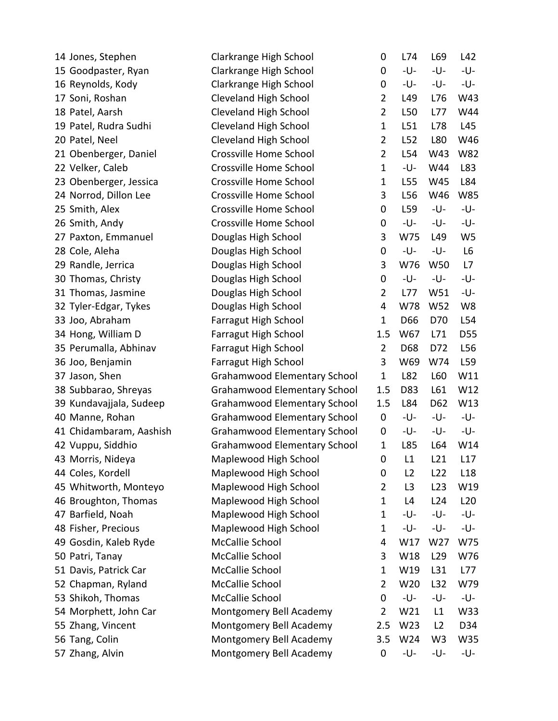| 14 Jones, Stephen       | Clarkrange High School              | 0              | L74            | L69             | L42            |
|-------------------------|-------------------------------------|----------------|----------------|-----------------|----------------|
| 15 Goodpaster, Ryan     | Clarkrange High School              | 0              | -U-            | -U-             | -U-            |
| 16 Reynolds, Kody       | Clarkrange High School              | 0              | -U-            | -U-             | -U-            |
| 17 Soni, Roshan         | Cleveland High School               | $\overline{2}$ | L49            | L76             | W43            |
| 18 Patel, Aarsh         | <b>Cleveland High School</b>        | $\overline{2}$ | L50            | L77             | W44            |
| 19 Patel, Rudra Sudhi   | <b>Cleveland High School</b>        | $\mathbf{1}$   | L51            | L78             | L45            |
| 20 Patel, Neel          | Cleveland High School               | $\overline{2}$ | L52            | L80             | W46            |
| 21 Obenberger, Daniel   | Crossville Home School              | $\overline{2}$ | L54            | W43             | W82            |
| 22 Velker, Caleb        | Crossville Home School              | $\mathbf{1}$   | -U-            | W44             | L83            |
| 23 Obenberger, Jessica  | Crossville Home School              | $\mathbf{1}$   | L55            | W45             | L84            |
| 24 Norrod, Dillon Lee   | Crossville Home School              | 3              | L56            | W46             | W85            |
| 25 Smith, Alex          | Crossville Home School              | $\mathbf 0$    | L59            | -U-             | -U-            |
| 26 Smith, Andy          | Crossville Home School              | 0              | -U-            | -U-             | -U-            |
| 27 Paxton, Emmanuel     | Douglas High School                 | 3              | W75            | L49             | W <sub>5</sub> |
| 28 Cole, Aleha          | Douglas High School                 | $\mathbf 0$    | -U-            | -U-             | L6             |
| 29 Randle, Jerrica      | Douglas High School                 | 3              | W76            | W50             | L7             |
| 30 Thomas, Christy      | Douglas High School                 | 0              | -U-            | -U-             | -U-            |
| 31 Thomas, Jasmine      | Douglas High School                 | $\overline{2}$ | L77            | W51             | -U-            |
| 32 Tyler-Edgar, Tykes   | Douglas High School                 | 4              | W78            | W52             | W8             |
| 33 Joo, Abraham         | Farragut High School                | $\mathbf{1}$   | D66            | D70             | L54            |
| 34 Hong, William D      | Farragut High School                | 1.5            | W67            | L71             | D55            |
| 35 Perumalla, Abhinav   | Farragut High School                | $\overline{2}$ | D68            | D72             | L56            |
| 36 Joo, Benjamin        | Farragut High School                | 3              | W69            | W74             | L59            |
| 37 Jason, Shen          | <b>Grahamwood Elementary School</b> | $\mathbf{1}$   | L82            | L60             | W11            |
| 38 Subbarao, Shreyas    | <b>Grahamwood Elementary School</b> | 1.5            | D83            | L61             | W12            |
| 39 Kundavajjala, Sudeep | <b>Grahamwood Elementary School</b> | 1.5            | L84            | D62             | W13            |
| 40 Manne, Rohan         | <b>Grahamwood Elementary School</b> | 0              | -U-            | -U-             | -U-            |
| 41 Chidambaram, Aashish | <b>Grahamwood Elementary School</b> | 0              | -U-            | -U-             | -U-            |
| 42 Vuppu, Siddhio       | Grahamwood Elementary School        | $\mathbf{1}$   | L85            | L64             | W14            |
| 43 Morris, Nideya       | Maplewood High School               | 0              | L1             | L21             | L17            |
| 44 Coles, Kordell       | Maplewood High School               | 0              | L <sub>2</sub> | L <sub>22</sub> | L18            |
| 45 Whitworth, Monteyo   | Maplewood High School               | 2              | L <sub>3</sub> | L23             | W19            |
| 46 Broughton, Thomas    | Maplewood High School               | $\mathbf{1}$   | L4             | L24             | L20            |
| 47 Barfield, Noah       | Maplewood High School               | $\mathbf{1}$   | -U-            | -U-             | -U-            |
| 48 Fisher, Precious     | Maplewood High School               | $\mathbf{1}$   | -U-            | -U-             | -U-            |
| 49 Gosdin, Kaleb Ryde   | McCallie School                     | 4              | W17            | W27             | W75            |
| 50 Patri, Tanay         | McCallie School                     | 3              | W18            | L <sub>29</sub> | W76            |
| 51 Davis, Patrick Car   | McCallie School                     | $\mathbf{1}$   | W19            | L31             | L77            |
| 52 Chapman, Ryland      | McCallie School                     | $\overline{2}$ | W20            | L32             | W79            |
| 53 Shikoh, Thomas       | McCallie School                     | 0              | -U-            | -U-             | -U-            |
| 54 Morphett, John Car   | Montgomery Bell Academy             | $\overline{2}$ | W21            | L1              | W33            |
| 55 Zhang, Vincent       | Montgomery Bell Academy             | 2.5            | W23            | L2              | D34            |
| 56 Tang, Colin          | Montgomery Bell Academy             | 3.5            | W24            | W <sub>3</sub>  | W35            |
| 57 Zhang, Alvin         | Montgomery Bell Academy             | 0              | -U-            | -U-             | -U-            |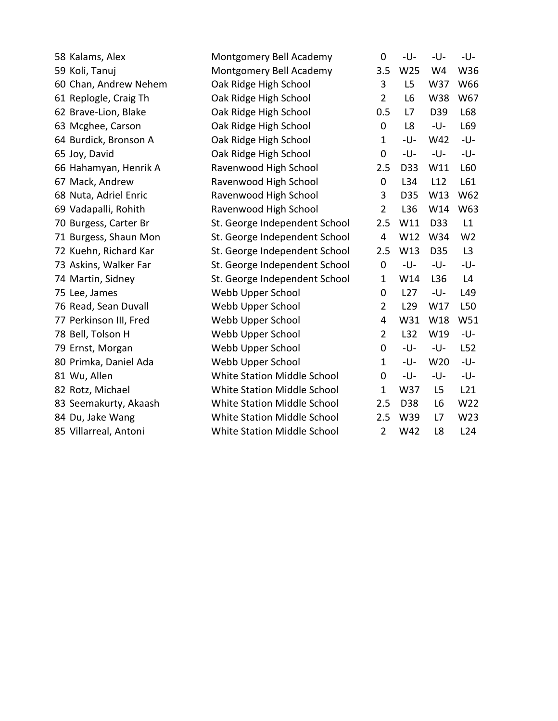| 58 Kalams, Alex        | Montgomery Bell Academy       | 0              | -U-             | -U-            | -U-            |
|------------------------|-------------------------------|----------------|-----------------|----------------|----------------|
| 59 Koli, Tanuj         | Montgomery Bell Academy       | 3.5            | W25             | W4             | W36            |
| 60 Chan, Andrew Nehem  | Oak Ridge High School         | 3              | L <sub>5</sub>  | W37            | W66            |
| 61 Replogle, Craig Th  | Oak Ridge High School         | $\overline{2}$ | L <sub>6</sub>  | W38            | W67            |
| 62 Brave-Lion, Blake   | Oak Ridge High School         | 0.5            | L7              | D39            | L68            |
| 63 Mcghee, Carson      | Oak Ridge High School         | $\mathbf 0$    | L <sub>8</sub>  | -U-            | L69            |
| 64 Burdick, Bronson A  | Oak Ridge High School         | $\mathbf{1}$   | -U-             | W42            | -U-            |
| 65 Joy, David          | Oak Ridge High School         | 0              | -U-             | -U-            | -U-            |
| 66 Hahamyan, Henrik A  | Ravenwood High School         | 2.5            | D33             | W11            | L60            |
| 67 Mack, Andrew        | Ravenwood High School         | $\mathbf 0$    | L34             | L12            | L61            |
| 68 Nuta, Adriel Enric  | Ravenwood High School         | 3              | D35             | W13            | W62            |
| 69 Vadapalli, Rohith   | Ravenwood High School         | $\overline{2}$ | L36             | W14            | W63            |
| 70 Burgess, Carter Br  | St. George Independent School | 2.5            | W11             | D33            | L1             |
| 71 Burgess, Shaun Mon  | St. George Independent School | 4              | W12             | W34            | W <sub>2</sub> |
| 72 Kuehn, Richard Kar  | St. George Independent School | 2.5            | W13             | D35            | L3             |
| 73 Askins, Walker Far  | St. George Independent School | $\mathbf 0$    | -U-             | -U-            | -U-            |
| 74 Martin, Sidney      | St. George Independent School | $\mathbf{1}$   | W14             | L36            | L4             |
| 75 Lee, James          | Webb Upper School             | 0              | L27             | -U-            | L49            |
| 76 Read, Sean Duvall   | Webb Upper School             | 2              | L <sub>29</sub> | W17            | L50            |
| 77 Perkinson III, Fred | Webb Upper School             | 4              | W31             | W18            | W51            |
| 78 Bell, Tolson H      | Webb Upper School             | $\overline{2}$ | L32             | W19            | -U-            |
| 79 Ernst, Morgan       | Webb Upper School             | 0              | -U-             | -U-            | L52            |
| 80 Primka, Daniel Ada  | Webb Upper School             | $\mathbf{1}$   | -U-             | W20            | -U-            |
| 81 Wu, Allen           | White Station Middle School   | 0              | -U-             | -U-            | -U-            |
| 82 Rotz, Michael       | White Station Middle School   | $\mathbf{1}$   | W37             | L <sub>5</sub> | L21            |
| 83 Seemakurty, Akaash  | White Station Middle School   | 2.5            | D38             | L <sub>6</sub> | W22            |
| 84 Du, Jake Wang       | White Station Middle School   | 2.5            | W39             | L7             | W23            |
| 85 Villarreal, Antoni  | White Station Middle School   | $\overline{2}$ | W42             | L8             | L24            |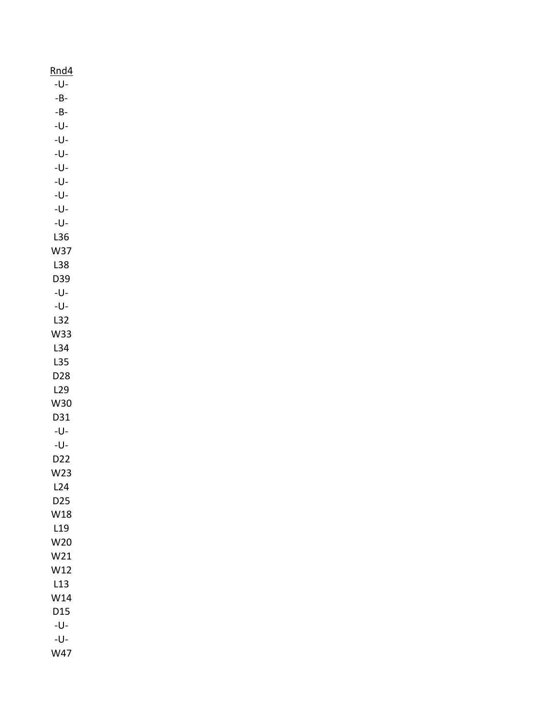| Rnd4                    |  |
|-------------------------|--|
| -U-                     |  |
| $-B-$                   |  |
| $\mbox{-}\, B\mbox{-}$  |  |
| -U-                     |  |
| $\mathsf{-U}\mathsf{-}$ |  |
| $\mathsf{-U}\mathsf{-}$ |  |
| -U-                     |  |
| $\mathsf{-U}\mathsf{-}$ |  |
| -U-                     |  |
| -U-                     |  |
| -U-                     |  |
| L36                     |  |
| W37                     |  |
| L38                     |  |
| D39                     |  |
| -U-                     |  |
| $\mathsf{-U}\mathsf{-}$ |  |
| L32                     |  |
| W33                     |  |
| L34                     |  |
| L35                     |  |
| D28                     |  |
| L29                     |  |
| W30                     |  |
| D31                     |  |
| -U-                     |  |
| $-U-$                   |  |
| D22                     |  |
| W23                     |  |
| L24                     |  |
| D <sub>25</sub>         |  |
| W18                     |  |
| L19                     |  |
| W20                     |  |
| W21                     |  |
| W12                     |  |
| L13                     |  |
| W14                     |  |
| D15                     |  |
| -U-                     |  |
| -U-                     |  |
| W47                     |  |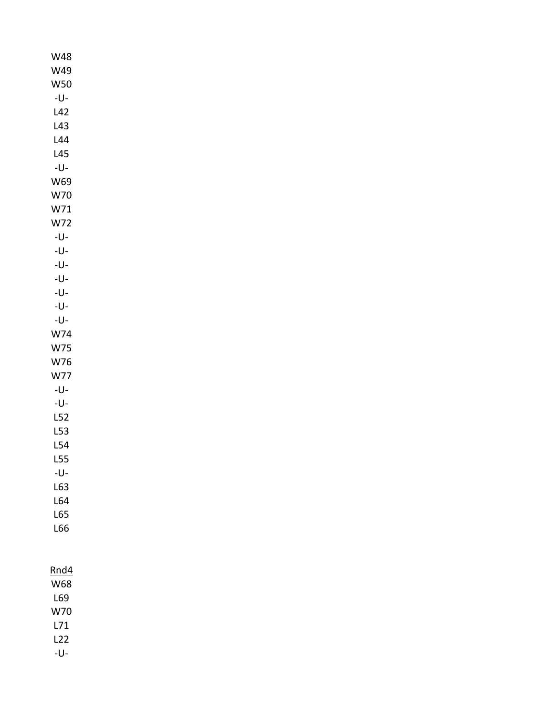W48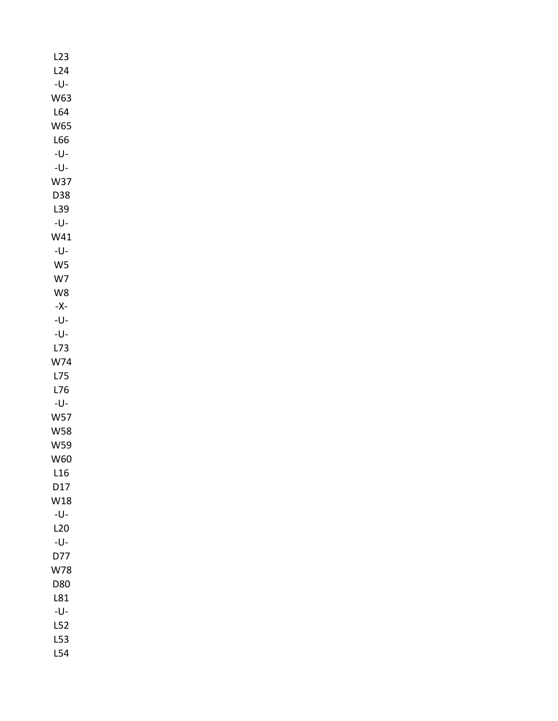| L23            |  |  |  |
|----------------|--|--|--|
| L24            |  |  |  |
| -U-            |  |  |  |
| W63            |  |  |  |
| L64            |  |  |  |
| <b>W65</b>     |  |  |  |
| L66            |  |  |  |
| -U-            |  |  |  |
| -U-            |  |  |  |
| W37            |  |  |  |
| D38            |  |  |  |
| L39            |  |  |  |
| -U-            |  |  |  |
| W41            |  |  |  |
| -U-            |  |  |  |
| W <sub>5</sub> |  |  |  |
| W7             |  |  |  |
| W8             |  |  |  |
| -X-            |  |  |  |
| -U-            |  |  |  |
| -U-            |  |  |  |
| L73            |  |  |  |
| W74            |  |  |  |
| L75            |  |  |  |
| L76            |  |  |  |
| -U-            |  |  |  |
| <b>W57</b>     |  |  |  |
| <b>W58</b>     |  |  |  |
| W59            |  |  |  |
| W60            |  |  |  |
| L16            |  |  |  |
| D17            |  |  |  |
| W18            |  |  |  |
| -U-            |  |  |  |
| L20            |  |  |  |
| -U-            |  |  |  |
| D77            |  |  |  |
| W78            |  |  |  |
| D80            |  |  |  |
| L81            |  |  |  |
| -U-            |  |  |  |
| L52            |  |  |  |
| L53            |  |  |  |
| L54            |  |  |  |
|                |  |  |  |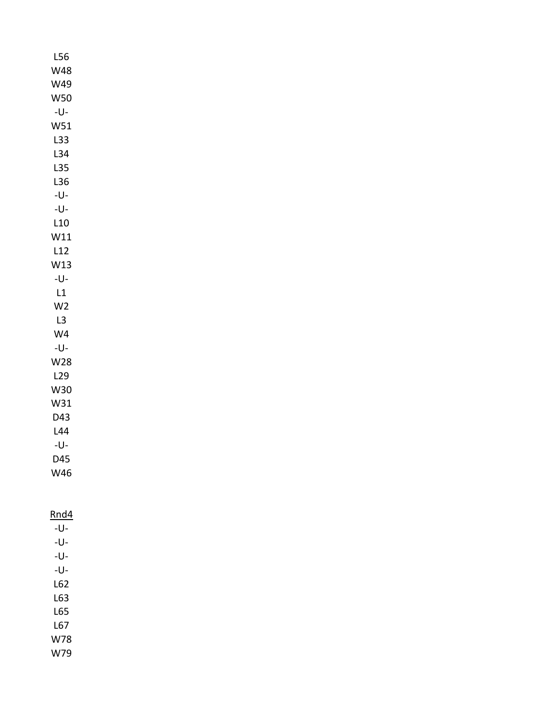| L56                     |  |  |
|-------------------------|--|--|
| <b>W48</b>              |  |  |
| W49                     |  |  |
| <b>W50</b>              |  |  |
| $\mathsf{-U}\mathsf{-}$ |  |  |
| W51                     |  |  |
| L33                     |  |  |
| L34                     |  |  |
| L35                     |  |  |
| L36                     |  |  |
| $-U-$                   |  |  |
| -U-                     |  |  |
| L10                     |  |  |
| W11                     |  |  |
| L12                     |  |  |
| W13                     |  |  |
| $\mathsf{-U}\mathsf{-}$ |  |  |
| L1                      |  |  |
| W <sub>2</sub>          |  |  |
| L3                      |  |  |
| W <sub>4</sub>          |  |  |
| $-U-$                   |  |  |
| <b>W28</b>              |  |  |
| L29                     |  |  |
| W30                     |  |  |
| W31                     |  |  |
| D43                     |  |  |
| L44                     |  |  |
| -U-                     |  |  |
| D45                     |  |  |
| W46                     |  |  |
|                         |  |  |
|                         |  |  |
| Rnd4                    |  |  |
| -U-                     |  |  |
| $\mathsf{U}\mathsf{-}$  |  |  |
| -U-                     |  |  |
| $\mathsf{-U}\mathsf{-}$ |  |  |
| L62                     |  |  |
|                         |  |  |

L63 L65 L67 W78 W79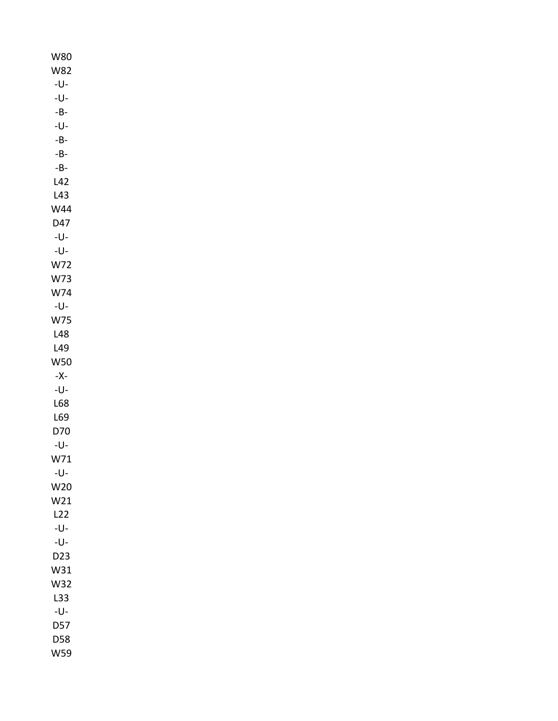| W80                     |
|-------------------------|
| <b>W82</b>              |
| -U-                     |
| $\mathsf{-U}\mathsf{-}$ |
| -B-                     |
| -U-                     |
| $-B-$                   |
| $-B-$                   |
| $-B-$                   |
| L42                     |
| L43                     |
| <b>W44</b>              |
| D47                     |
| -U-                     |
| -U-                     |
| W72                     |
| W73                     |
| W74                     |
| -U-                     |
| W75                     |
| L48                     |
| L49                     |
|                         |
| <b>W50</b>              |
| -X-                     |
| -U-                     |
| L68                     |
| L69                     |
| D70                     |
| -U-                     |
| W71                     |
| -U-                     |
| W20                     |
| W21                     |
| L22                     |
| -U-                     |
| -U-                     |
| D <sub>23</sub>         |
| W31                     |
| W32                     |
| L33                     |
| -U-                     |
| D57                     |
| D58                     |
| W59                     |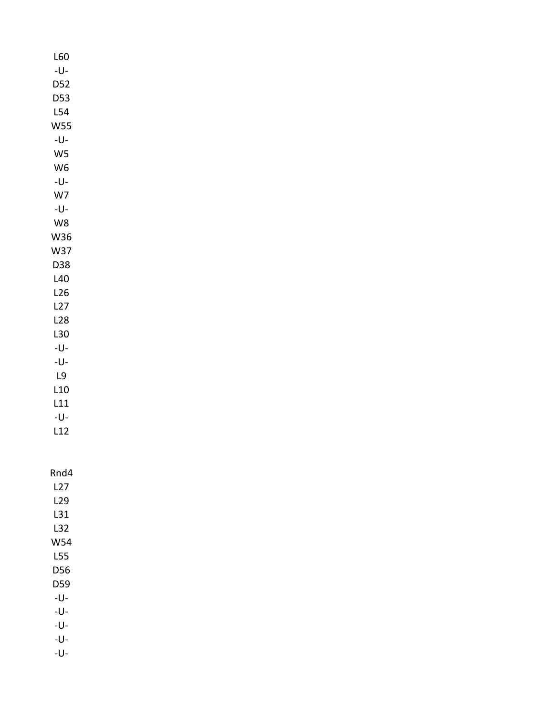| L60        |
|------------|
| -U-        |
| D52        |
| D53        |
| L54        |
| W55        |
| -U-        |
| W5         |
|            |
| W6         |
| -U-        |
| W7         |
| -U-        |
| W8         |
| W36        |
|            |
|            |
| W37        |
| D38        |
| L40        |
| L26        |
| L27        |
| L28        |
| L30        |
| -U-        |
| -U-        |
| L9         |
| L10        |
|            |
| L11        |
| -U-<br>L12 |

| Rnd4 |
|------|

| L27   |
|-------|
| 129   |
| L31   |
| L32   |
| W54   |
| L55   |
| D56   |
| D59   |
| -l J- |
| -l J- |
|       |

-U-

-U- -U-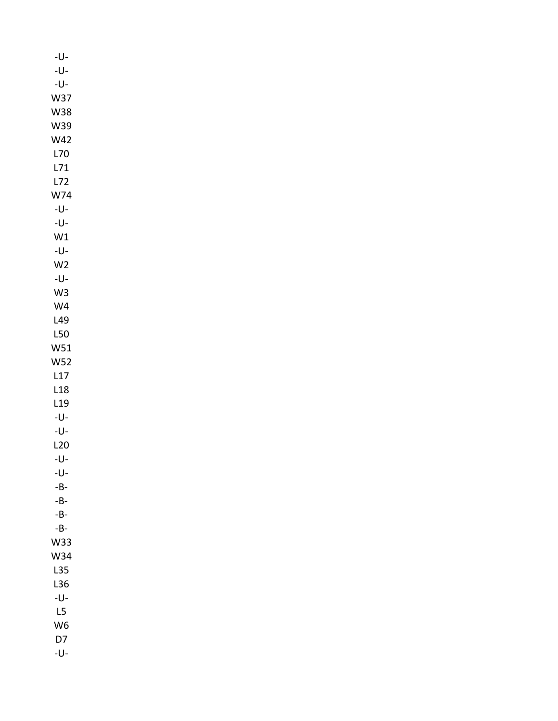| -U-                     |  |
|-------------------------|--|
| $\mathsf{-U}\mathsf{-}$ |  |
| $\mathsf{-U}\mathsf{-}$ |  |
| W37                     |  |
| <b>W38</b>              |  |
| W39                     |  |
| W42                     |  |
| L70                     |  |
| L71                     |  |
| L72                     |  |
| W74                     |  |
| $\mathsf{-U}\mathsf{-}$ |  |
| $\mathsf{-U}\mathsf{-}$ |  |
| W1                      |  |
| $\mathsf{-U}\mathsf{-}$ |  |
| W <sub>2</sub>          |  |
| $\mathsf{-U}\mathsf{-}$ |  |
| W <sub>3</sub>          |  |
| W <sub>4</sub>          |  |
|                         |  |
| L49                     |  |
| L50                     |  |
| W51                     |  |
| <b>W52</b>              |  |
| L17                     |  |
| L18                     |  |
| L <sub>19</sub>         |  |
| $\mathsf{-U}\mathsf{-}$ |  |
| -U-                     |  |
| L20                     |  |
| -U-                     |  |
| $\mathsf{-U}\mathsf{-}$ |  |
| $\mbox{-}\, B\mbox{-}$  |  |
| $-B-$                   |  |
| $\mbox{-}\, B\mbox{-}$  |  |
| $\mbox{-}\, B\mbox{-}$  |  |
| W33                     |  |
| W34                     |  |
| L35                     |  |
| L36                     |  |
| -U-                     |  |
| L5                      |  |
| W <sub>6</sub>          |  |
| D7                      |  |
| -U-                     |  |